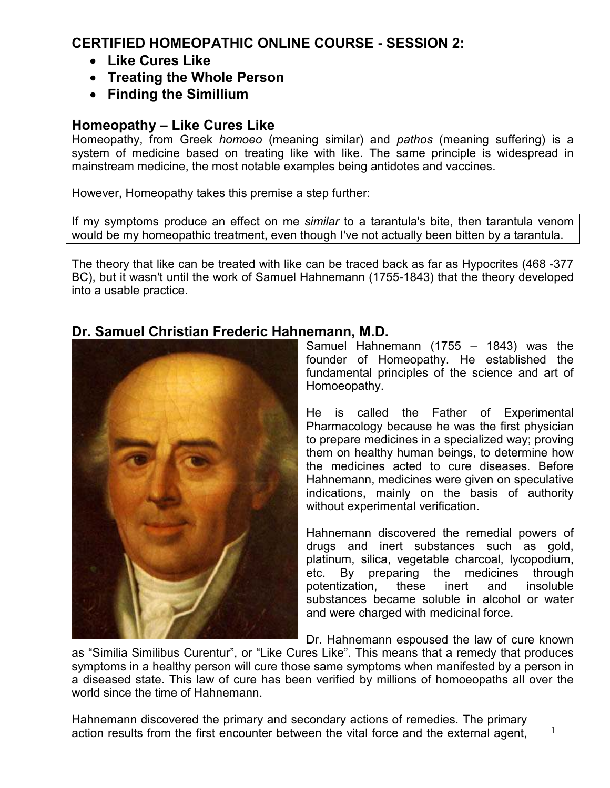# **CERTIFIED HOMEOPATHIC ONLINE COURSE - SESSION 2:**

- **Like Cures Like**
- **Treating the Whole Person**
- **Finding the Simillium**

# **Homeopathy – Like Cures Like**

Homeopathy, from Greek *homoeo* (meaning similar) and *pathos* (meaning suffering) is a system of medicine based on treating like with like. The same principle is widespread in mainstream medicine, the most notable examples being antidotes and vaccines.

However, Homeopathy takes this premise a step further:

If my symptoms produce an effect on me *similar* to a tarantula's bite, then tarantula venom would be my homeopathic treatment, even though I've not actually been bitten by a tarantula.

The theory that like can be treated with like can be traced back as far as Hypocrites (468 -377 BC), but it wasn't until the work of Samuel Hahnemann (1755-1843) that the theory developed into a usable practice.

## **Dr. Samuel Christian Frederic Hahnemann, M.D.**



Samuel Hahnemann (1755 – 1843) was the founder of Homeopathy. He established the fundamental principles of the science and art of Homoeopathy.

He is called the Father of Experimental Pharmacology because he was the first physician to prepare medicines in a specialized way; proving them on healthy human beings, to determine how the medicines acted to cure diseases. Before Hahnemann, medicines were given on speculative indications, mainly on the basis of authority without experimental verification.

Hahnemann discovered the remedial powers of drugs and inert substances such as gold, platinum, silica, vegetable charcoal, lycopodium, etc. By preparing the medicines through potentization, these inert and insoluble substances became soluble in alcohol or water and were charged with medicinal force.

Dr. Hahnemann espoused the law of cure known

as "Similia Similibus Curentur", or "Like Cures Like". This means that a remedy that produces symptoms in a healthy person will cure those same symptoms when manifested by a person in a diseased state. This law of cure has been verified by millions of homoeopaths all over the world since the time of Hahnemann.

1 Hahnemann discovered the primary and secondary actions of remedies. The primary action results from the first encounter between the vital force and the external agent,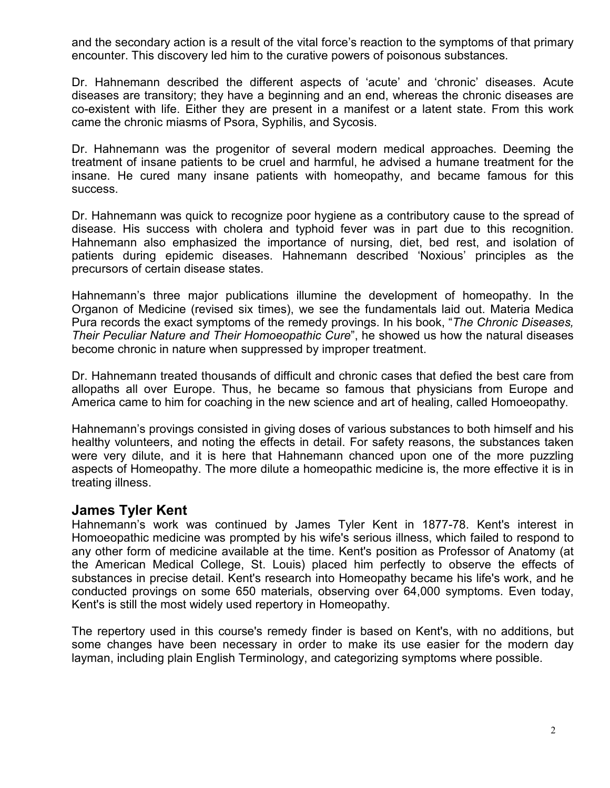and the secondary action is a result of the vital force's reaction to the symptoms of that primary encounter. This discovery led him to the curative powers of poisonous substances.

Dr. Hahnemann described the different aspects of 'acute' and 'chronic' diseases. Acute diseases are transitory; they have a beginning and an end, whereas the chronic diseases are co-existent with life. Either they are present in a manifest or a latent state. From this work came the chronic miasms of Psora, Syphilis, and Sycosis.

Dr. Hahnemann was the progenitor of several modern medical approaches. Deeming the treatment of insane patients to be cruel and harmful, he advised a humane treatment for the insane. He cured many insane patients with homeopathy, and became famous for this success.

Dr. Hahnemann was quick to recognize poor hygiene as a contributory cause to the spread of disease. His success with cholera and typhoid fever was in part due to this recognition. Hahnemann also emphasized the importance of nursing, diet, bed rest, and isolation of patients during epidemic diseases. Hahnemann described 'Noxious' principles as the precursors of certain disease states.

Hahnemann's three major publications illumine the development of homeopathy. In the Organon of Medicine (revised six times), we see the fundamentals laid out. Materia Medica Pura records the exact symptoms of the remedy provings. In his book, "*The Chronic Diseases, Their Peculiar Nature and Their Homoeopathic Cure*", he showed us how the natural diseases become chronic in nature when suppressed by improper treatment.

Dr. Hahnemann treated thousands of difficult and chronic cases that defied the best care from allopaths all over Europe. Thus, he became so famous that physicians from Europe and America came to him for coaching in the new science and art of healing, called Homoeopathy.

Hahnemann's provings consisted in giving doses of various substances to both himself and his healthy volunteers, and noting the effects in detail. For safety reasons, the substances taken were very dilute, and it is here that Hahnemann chanced upon one of the more puzzling aspects of Homeopathy. The more dilute a homeopathic medicine is, the more effective it is in treating illness.

#### **James Tyler Kent**

Hahnemann's work was continued by James Tyler Kent in 1877-78. Kent's interest in Homoeopathic medicine was prompted by his wife's serious illness, which failed to respond to any other form of medicine available at the time. Kent's position as Professor of Anatomy (at the American Medical College, St. Louis) placed him perfectly to observe the effects of substances in precise detail. Kent's research into Homeopathy became his life's work, and he conducted provings on some 650 materials, observing over 64,000 symptoms. Even today, Kent's is still the most widely used repertory in Homeopathy.

The repertory used in this course's remedy finder is based on Kent's, with no additions, but some changes have been necessary in order to make its use easier for the modern day layman, including plain English Terminology, and categorizing symptoms where possible.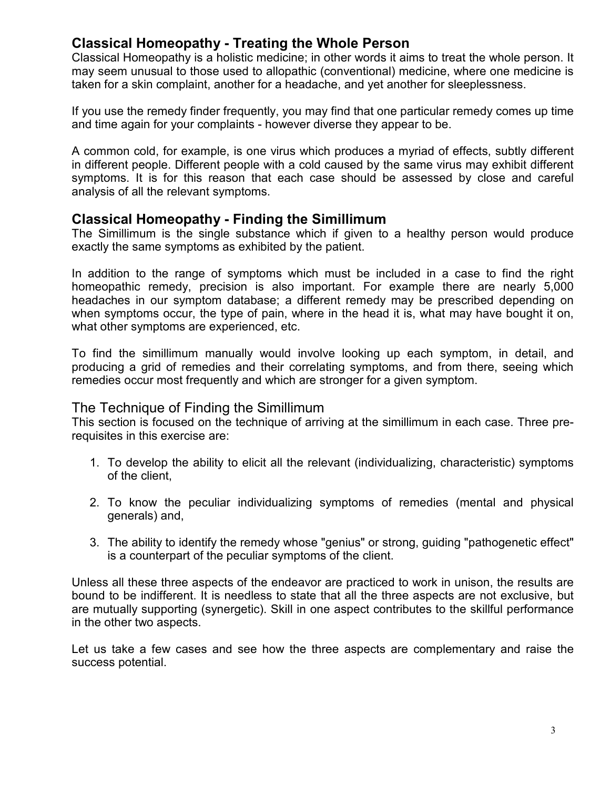## **Classical Homeopathy - Treating the Whole Person**

Classical Homeopathy is a holistic medicine; in other words it aims to treat the whole person. It may seem unusual to those used to allopathic (conventional) medicine, where one medicine is taken for a skin complaint, another for a headache, and yet another for sleeplessness.

If you use the remedy finder frequently, you may find that one particular remedy comes up time and time again for your complaints - however diverse they appear to be.

A common cold, for example, is one virus which produces a myriad of effects, subtly different in different people. Different people with a cold caused by the same virus may exhibit different symptoms. It is for this reason that each case should be assessed by close and careful analysis of all the relevant symptoms.

### **Classical Homeopathy - Finding the Simillimum**

The Simillimum is the single substance which if given to a healthy person would produce exactly the same symptoms as exhibited by the patient.

In addition to the range of symptoms which must be included in a case to find the right homeopathic remedy, precision is also important. For example there are nearly 5,000 headaches in our symptom database; a different remedy may be prescribed depending on when symptoms occur, the type of pain, where in the head it is, what may have bought it on, what other symptoms are experienced, etc.

To find the simillimum manually would involve looking up each symptom, in detail, and producing a grid of remedies and their correlating symptoms, and from there, seeing which remedies occur most frequently and which are stronger for a given symptom.

### The Technique of Finding the Simillimum

This section is focused on the technique of arriving at the simillimum in each case. Three prerequisites in this exercise are:

- 1. To develop the ability to elicit all the relevant (individualizing, characteristic) symptoms of the client,
- 2. To know the peculiar individualizing symptoms of remedies (mental and physical generals) and,
- 3. The ability to identify the remedy whose "genius" or strong, guiding "pathogenetic effect" is a counterpart of the peculiar symptoms of the client.

Unless all these three aspects of the endeavor are practiced to work in unison, the results are bound to be indifferent. It is needless to state that all the three aspects are not exclusive, but are mutually supporting (synergetic). Skill in one aspect contributes to the skillful performance in the other two aspects.

Let us take a few cases and see how the three aspects are complementary and raise the success potential.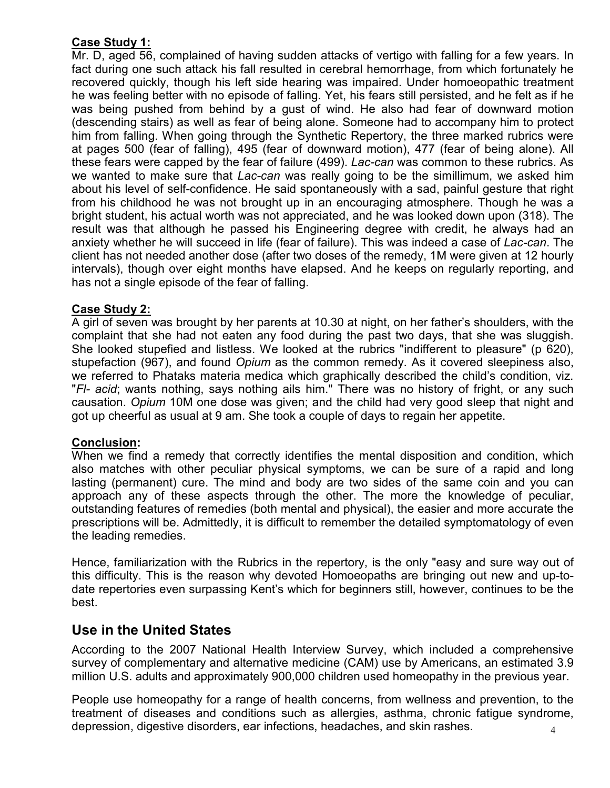#### **Case Study 1:**

Mr. D, aged 56, complained of having sudden attacks of vertigo with falling for a few years. In fact during one such attack his fall resulted in cerebral hemorrhage, from which fortunately he recovered quickly, though his left side hearing was impaired. Under homoeopathic treatment he was feeling better with no episode of falling. Yet, his fears still persisted, and he felt as if he was being pushed from behind by a gust of wind. He also had fear of downward motion (descending stairs) as well as fear of being alone. Someone had to accompany him to protect him from falling. When going through the Synthetic Repertory, the three marked rubrics were at pages 500 (fear of falling), 495 (fear of downward motion), 477 (fear of being alone). All these fears were capped by the fear of failure (499). *Lac-can* was common to these rubrics. As we wanted to make sure that *Lac-can* was really going to be the simillimum, we asked him about his level of self-confidence. He said spontaneously with a sad, painful gesture that right from his childhood he was not brought up in an encouraging atmosphere. Though he was a bright student, his actual worth was not appreciated, and he was looked down upon (318). The result was that although he passed his Engineering degree with credit, he always had an anxiety whether he will succeed in life (fear of failure). This was indeed a case of *Lac-can*. The client has not needed another dose (after two doses of the remedy, 1M were given at 12 hourly intervals), though over eight months have elapsed. And he keeps on regularly reporting, and has not a single episode of the fear of falling.

#### **Case Study 2:**

A girl of seven was brought by her parents at 10.30 at night, on her father's shoulders, with the complaint that she had not eaten any food during the past two days, that she was sluggish. She looked stupefied and listless. We looked at the rubrics "indifferent to pleasure" (p 620), stupefaction (967), and found *Opium* as the common remedy. As it covered sleepiness also, we referred to Phataks materia medica which graphically described the child's condition, viz. "*Fl- acid*; wants nothing, says nothing ails him." There was no history of fright, or any such causation. *Opium* 10M one dose was given; and the child had very good sleep that night and got up cheerful as usual at 9 am. She took a couple of days to regain her appetite.

### **Conclusion:**

When we find a remedy that correctly identifies the mental disposition and condition, which also matches with other peculiar physical symptoms, we can be sure of a rapid and long lasting (permanent) cure. The mind and body are two sides of the same coin and you can approach any of these aspects through the other. The more the knowledge of peculiar, outstanding features of remedies (both mental and physical), the easier and more accurate the prescriptions will be. Admittedly, it is difficult to remember the detailed symptomatology of even the leading remedies.

Hence, familiarization with the Rubrics in the repertory, is the only "easy and sure way out of this difficulty. This is the reason why devoted Homoeopaths are bringing out new and up-todate repertories even surpassing Kent's which for beginners still, however, continues to be the best.

### **Use in the United States**

According to the 2007 National Health Interview Survey, which included a comprehensive survey of complementary and alternative medicine (CAM) use by Americans, an estimated 3.9 million U.S. adults and approximately 900,000 children used homeopathy in the previous year.

4 People use homeopathy for a range of health concerns, from wellness and prevention, to the treatment of diseases and conditions such as allergies, asthma, chronic fatigue syndrome, depression, digestive disorders, ear infections, headaches, and skin rashes.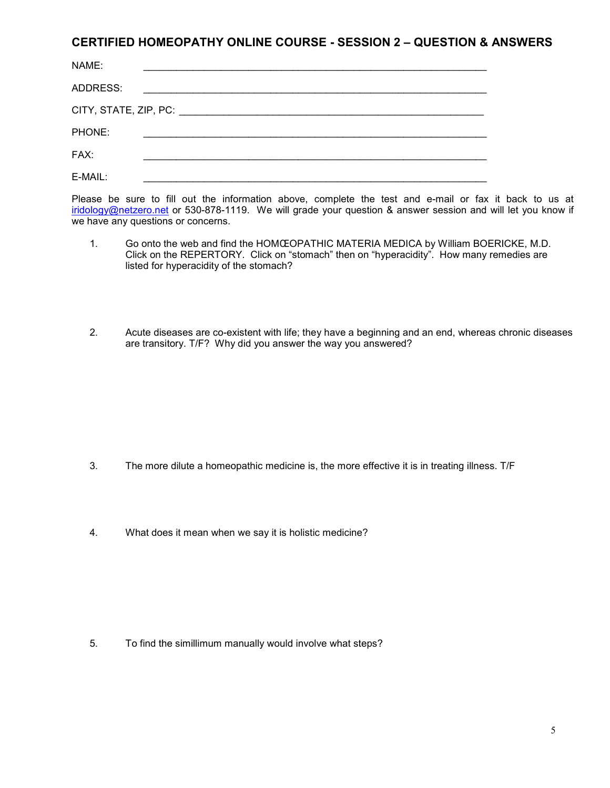#### **CERTIFIED HOMEOPATHY ONLINE COURSE - SESSION 2 – QUESTION & ANSWERS**

| NAME:    |  |  |
|----------|--|--|
| ADDRESS: |  |  |
|          |  |  |
| PHONE:   |  |  |
| FAX:     |  |  |
| E-MAIL:  |  |  |

Please be sure to fill out the information above, complete the test and e-mail or fax it back to us at iridology@netzero.net or 530-878-1119. We will grade your question & answer session and will let you know if we have any questions or concerns.

- 1. Go onto the web and find the HOMŒOPATHIC MATERIA MEDICA by William BOERICKE, M.D. Click on the REPERTORY. Click on "stomach" then on "hyperacidity". How many remedies are listed for hyperacidity of the stomach?
- 2. Acute diseases are co-existent with life; they have a beginning and an end, whereas chronic diseases are transitory. T/F? Why did you answer the way you answered?

- 3. The more dilute a homeopathic medicine is, the more effective it is in treating illness. T/F
- 4. What does it mean when we say it is holistic medicine?

5. To find the simillimum manually would involve what steps?